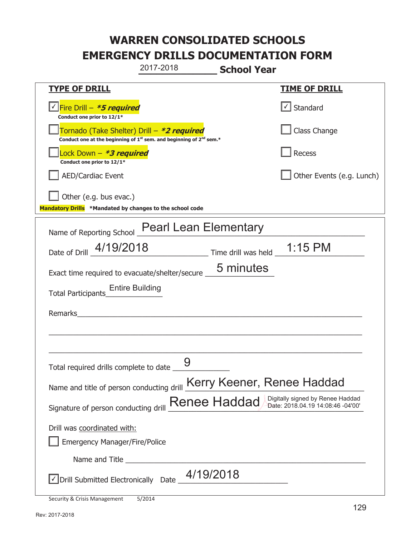**\_\_\_\_\_\_\_\_\_\_\_\_\_ School Year TYPE OF DRILL TIME OF DRILL**  <mark>▽ Fire Drill – *\*5 required* マイクレス マイクレス マイクレス マイクレス マイクレス マイクレス マイクレス マイクレス しゃく</mark> **Conduct one prior to 12/1\***   $\boxed{\checkmark}$  Standard 侊Tornado (Take Shelter) Drill – **\*2 required Conduct one at the beginning of 1<sup>st</sup> sem. and beginning of 2<sup>nd</sup> sem.\*** Class Change 侊Lock Down – **\*3 required Conduct one prior to 12/1\* Recess** AED/Cardiac Event **AED/Cardiac Event Network Network Network Network Network Network Network Network Network Network Network Network Network Network Network Network Network Network Net** Other (e.g. bus evac.) **Mandatory Drills \*Mandated by changes to the school code**  Name of Reporting School Pearl Lean Elementary Date of Drill  $\frac{4/19/2018}{2}$  Time drill was held  $\frac{1:15 \text{ PM}}{2}$ Exact time required to evacuate/shelter/secure  $\frac{5 \text{ minutes}}{2}$ Total Participants\_\_\_\_\_\_\_\_\_\_\_\_\_\_ Entire Building Remarks  $\_$  , and the set of the set of the set of the set of the set of the set of the set of the set of the set of the set of the set of the set of the set of the set of the set of the set of the set of the set of the set of th \_\_\_\_\_\_\_\_\_\_\_\_\_\_\_\_\_\_\_\_\_\_\_\_\_\_\_\_\_\_\_\_\_\_\_\_\_\_\_\_\_\_\_\_\_\_\_\_\_\_\_\_\_\_\_\_\_\_\_\_\_\_\_\_\_\_\_\_\_\_\_\_\_\_\_\_\_ Total required drills complete to date \_\_\_\_\_\_\_\_\_\_\_\_\_\_ Name and title of person conducting drill Kerry Keener, Renee Haddad Signature of person conducting drill **Renee Haddad** Digitally signed by Renee Haddad Signature of person conducting drill Drill was coordinated with: ܆ Emergency Manager/Fire/Police Name and Title **Example 20**  $\triangledown$  Drill Submitted Electronically Date  $\frac{4/19/2018}{\sqrt{25}}$ 2017-2018 9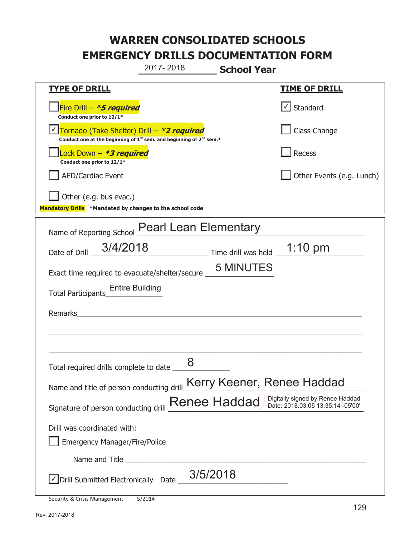**\_\_\_\_\_\_\_\_\_\_\_\_\_ School Year TYPE OF DRILL TIME OF DRILL**  侊Fire Drill – **\*5 required Conduct one prior to 12/1\***   $\boxed{\checkmark}$  Standard 侊Tornado (Take Shelter) Drill – **\*2 required** ✔ **Conduct one at the beginning of 1<sup>st</sup> sem. and beginning of 2<sup>nd</sup> sem.\*** Class Change 侊Lock Down – **\*3 required Conduct one prior to 12/1\* Recess** AED/Cardiac Event **AED/Cardiac Event Network Network Network Network Network Network Network Network Network Network Network Network Network Network Network Network Network Network Net** Other (e.g. bus evac.) **Mandatory Drills \*Mandated by changes to the school code**  Name of Reporting School **Pearl Lean Elementary** Date of Drill  $\frac{3/4/2018}{2}$  Time drill was held  $\frac{1:10 \text{ pm}}{2}$ Exact time required to evacuate/shelter/secure  $\_\_\_\_5$  MINUTES Total Participants\_\_\_\_\_\_\_\_\_\_\_\_\_\_ Entire Building Remarks  $\_$  , and the set of the set of the set of the set of the set of the set of the set of the set of the set of the set of the set of the set of the set of the set of the set of the set of the set of the set of the set of th \_\_\_\_\_\_\_\_\_\_\_\_\_\_\_\_\_\_\_\_\_\_\_\_\_\_\_\_\_\_\_\_\_\_\_\_\_\_\_\_\_\_\_\_\_\_\_\_\_\_\_\_\_\_\_\_\_\_\_\_\_\_\_\_\_\_\_\_\_\_\_\_\_\_\_\_\_ Total required drills complete to date \_\_\_\_\_\_\_\_\_\_\_\_\_\_ Name and title of person conducting drill Kerry Keener, Renee Haddad Signature of person conducting drill **Renee Haddad** Digitally signed by Renee Haddad Signature of person conducting drill Drill was coordinated with: ܆ Emergency Manager/Fire/Police Name and Title **Example 20**  $\sqrt{2}$  Drill Submitted Electronically Date  $\frac{3/5/2018}{2}$ 2017- 2018 8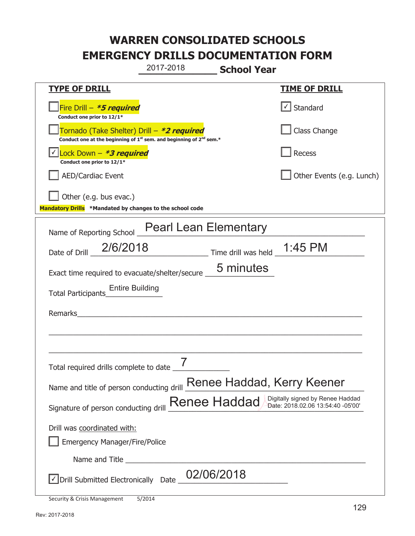**\_\_\_\_\_\_\_\_\_\_\_\_\_ School Year**  2017-2018

| <u>TYPE OF DRILL</u>                                                                                                                      | <u>TIME OF DRILL</u>              |  |
|-------------------------------------------------------------------------------------------------------------------------------------------|-----------------------------------|--|
| Fire Drill - *5 required<br>Conduct one prior to 12/1*                                                                                    | $\lfloor \angle \rfloor$ Standard |  |
| Tornado (Take Shelter) Drill – *2 required<br>Conduct one at the beginning of 1 <sup>st</sup> sem. and beginning of 2 <sup>nd</sup> sem.* | Class Change                      |  |
| Conduct one prior to 12/1*                                                                                                                | Recess                            |  |
| <b>AED/Cardiac Event</b>                                                                                                                  | Other Events (e.g. Lunch)         |  |
| Other (e.g. bus evac.)                                                                                                                    |                                   |  |
| Mandatory Drills *Mandated by changes to the school code                                                                                  |                                   |  |
| Name of Reporting School Pearl Lean Elementary                                                                                            |                                   |  |
| Date of Drill 2/6/2018 Time drill was held 1:45 PM                                                                                        |                                   |  |
| Exact time required to evacuate/shelter/secure __ 5 minutes                                                                               |                                   |  |
| <b>Entire Building</b><br><b>Total Participants</b>                                                                                       |                                   |  |
| Remarks                                                                                                                                   |                                   |  |
|                                                                                                                                           |                                   |  |
|                                                                                                                                           |                                   |  |
| Total required drills complete to date                                                                                                    |                                   |  |
| Name and title of person conducting drill <b>Renee Haddad</b> , Kerry Keener                                                              |                                   |  |
| Digitally signed by Renee Haddad<br>Renee Haddad<br>Date: 2018.02.06 13:54:40 -05'00'<br>Signature of person conducting drill             |                                   |  |
| Drill was coordinated with:                                                                                                               |                                   |  |
| <b>Emergency Manager/Fire/Police</b>                                                                                                      |                                   |  |
|                                                                                                                                           |                                   |  |
| 02/06/2018<br>√ Drill Submitted Electronically Date                                                                                       |                                   |  |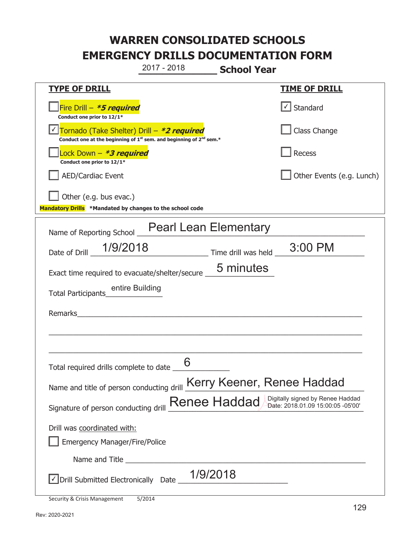**\_\_\_\_\_\_\_\_\_\_\_\_\_ School Year**  2017 - 2018

| <b>TYPE OF DRILL</b>                                                                                                                      | <u>TIME OF DRILL</u>        |  |
|-------------------------------------------------------------------------------------------------------------------------------------------|-----------------------------|--|
| Fire Drill - *5 required<br>Conduct one prior to 12/1*                                                                                    | $\cup$ Standard             |  |
| Tornado (Take Shelter) Drill - *2 required<br>Conduct one at the beginning of 1 <sup>st</sup> sem. and beginning of 2 <sup>nd</sup> sem.* | Class Change                |  |
| Lock Down - *3 required<br>Conduct one prior to 12/1*                                                                                     | Recess                      |  |
| <b>AED/Cardiac Event</b>                                                                                                                  | Other Events (e.g. Lunch)   |  |
| Other (e.g. bus evac.)                                                                                                                    |                             |  |
| Mandatory Drills *Mandated by changes to the school code                                                                                  |                             |  |
| <b>Pearl Lean Elementary</b><br>Name of Reporting School _                                                                                |                             |  |
| Date of Drill 1/9/2018                                                                                                                    | Time drill was held 3:00 PM |  |
| Exact time required to evacuate/shelter/secure _6 minutes                                                                                 |                             |  |
| entire Building<br>Total Participants                                                                                                     |                             |  |
| Remarks                                                                                                                                   |                             |  |
|                                                                                                                                           |                             |  |
|                                                                                                                                           |                             |  |
| Total required drills complete to date                                                                                                    |                             |  |
| Name and title of person conducting drill Kerry Keener, Renee Haddad                                                                      |                             |  |
| Digitally signed by Renee Haddad<br>Signature of person conducting drill Renee Haddad<br>Date: 2018.01.09 15:00:05 -05'00'                |                             |  |
| Drill was coordinated with:                                                                                                               |                             |  |
| <b>Emergency Manager/Fire/Police</b>                                                                                                      |                             |  |
|                                                                                                                                           |                             |  |
| $\vee$ Drill Submitted Electronically Date __ $1/9/2018$                                                                                  |                             |  |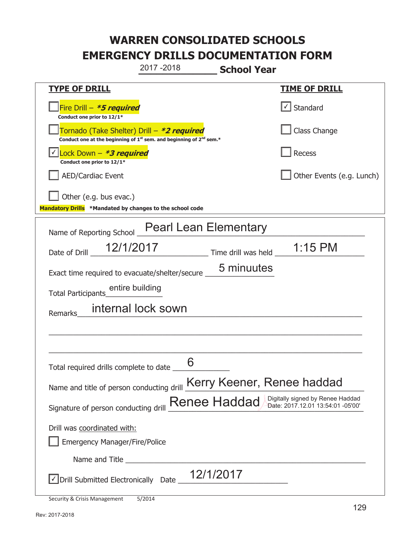**\_\_\_\_\_\_\_\_\_\_\_\_\_ School Year TYPE OF DRILL TIME OF DRILL**  侊Fire Drill – **\*5 required Conduct one prior to 12/1\***   $\boxed{\checkmark}$  Standard 侊Tornado (Take Shelter) Drill – **\*2 required Conduct one at the beginning of 1<sup>st</sup> sem. and beginning of 2<sup>nd</sup> sem.\*** Class Change 侊Lock Down – **\*3 required** ✔ **Conduct one prior to 12/1\* Recess** AED/Cardiac Event **AED/Cardiac Event Network Network Network Network Network Network Network Network Network Network Network Network Network Network Network Network Network Network Net**  $\Box$  Other (e.g. bus evac.) **Mandatory Drills \*Mandated by changes to the school code**  Name of Reporting School Pearl Lean Elementary Date of Drill  $\frac{12/1/2017}{\frac{12}{12017}}$  Time drill was held  $\frac{1:15 \text{ PM}}{\frac{1}{12017}}$ Exact time required to evacuate/shelter/secure \_\_\_\_\_\_\_\_\_\_\_\_\_\_\_\_\_\_\_\_\_\_\_\_\_\_\_\_\_\_\_\_\_ Total Participants\_\_\_\_\_\_\_\_\_\_\_\_\_\_ entire building Remarks\_\_\_\_\_\_\_\_\_\_\_\_\_\_\_\_\_\_\_\_\_\_\_\_\_\_\_\_\_\_\_\_\_\_\_\_\_\_\_\_\_\_\_\_\_\_\_\_\_\_\_\_\_\_\_\_\_\_\_\_\_\_\_\_\_\_\_\_\_\_  $\_$  , and the set of the set of the set of the set of the set of the set of the set of the set of the set of the set of the set of the set of the set of the set of the set of the set of the set of the set of the set of th \_\_\_\_\_\_\_\_\_\_\_\_\_\_\_\_\_\_\_\_\_\_\_\_\_\_\_\_\_\_\_\_\_\_\_\_\_\_\_\_\_\_\_\_\_\_\_\_\_\_\_\_\_\_\_\_\_\_\_\_\_\_\_\_\_\_\_\_\_\_\_\_\_\_\_\_\_ Total required drills complete to date \_\_\_\_\_\_\_\_\_\_\_\_\_\_ Name and title of person conducting drill Kerry Keener, Renee haddad Signature of person conducting drill **Renee Haddad** Digitally signed by Renee Haddad Signature of person conducting drill Drill was coordinated with: ܆ Emergency Manager/Fire/Police Name and Title **Example 20**  $\sqrt{2}$  Drill Submitted Electronically Date  $\frac{12/1/2017}{2}$ 2017 -2018 internal lock sown 6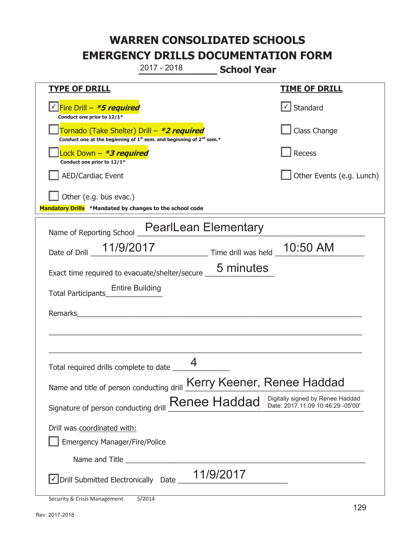**\_\_\_\_\_\_\_\_\_\_\_\_\_ School Year TYPE OF DRILL TIME OF DRILL**  <mark>▽ Fire Drill – *\*5 required* マイクレス マイクレス マイクレス マイクレス マイクレス マイクレス マイクレス マイクレス しゃく</mark> **Conduct one prior to 12/1\***   $\boxed{\checkmark}$  Standard 侊Tornado (Take Shelter) Drill – **\*2 required Conduct one at the beginning of 1<sup>st</sup> sem. and beginning of 2<sup>nd</sup> sem.\*** Class Change 侊Lock Down – **\*3 required Conduct one prior to 12/1\* Recess** AED/Cardiac Event **AED/Cardiac Event Network Network Network Network Network Network Network Network Network Network Network Network Network Network Network Network Network Network Net**  $\Box$  Other (e.g. bus evac.) **Mandatory Drills \*Mandated by changes to the school code**  Name of Reporting School PearlLean Elementary Date of Drill  $\frac{11/9/2017}{2}$  Time drill was held  $\frac{10:50 \text{ AM}}{2}$ Exact time required to evacuate/shelter/secure  $\frac{5 \text{ minutes}}{2}$ Total Participants\_\_\_\_\_\_\_\_\_\_\_\_\_\_ Entire Building Remarks  $\_$  , and the set of the set of the set of the set of the set of the set of the set of the set of the set of the set of the set of the set of the set of the set of the set of the set of the set of the set of the set of th \_\_\_\_\_\_\_\_\_\_\_\_\_\_\_\_\_\_\_\_\_\_\_\_\_\_\_\_\_\_\_\_\_\_\_\_\_\_\_\_\_\_\_\_\_\_\_\_\_\_\_\_\_\_\_\_\_\_\_\_\_\_\_\_\_\_\_\_\_\_\_\_\_\_\_\_\_ Total required drills complete to date \_\_\_\_\_\_\_\_\_\_\_\_\_\_ Name and title of person conducting drill Kerry Keener, Renee Haddad Signature of person conducting drill **Renee Haddad** Digitally signed by Renee Haddad Signature of person conducting drill Drill was coordinated with: ܆ Emergency Manager/Fire/Police Name and Title **Example 20**  $\triangledown$  Drill Submitted Electronically Date  $\_$ 11/9/2017 2017 - 2018 4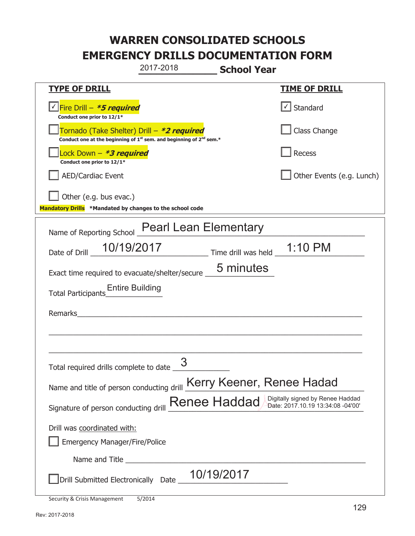**\_\_\_\_\_\_\_\_\_\_\_\_\_ School Year TYPE OF DRILL TIME OF DRILL**  <mark>▽ Fire Drill – *\*5 required* マイクレス マイクレス マイクレス マイクレス マイクレス マイクレス マイクレス マイクレス しゃく</mark> **Conduct one prior to 12/1\***   $\boxed{\sqrt}$  Standard 侊Tornado (Take Shelter) Drill – **\*2 required Conduct one at the beginning of 1<sup>st</sup> sem. and beginning of 2<sup>nd</sup> sem.\*** Class Change 侊Lock Down – **\*3 required Conduct one prior to 12/1\* Recess** AED/Cardiac Event **AED/Cardiac Event Network Network Network Network Network Network Network Network Network Network Network Network Network Network Network Network Network Network Net** Other (e.g. bus evac.) **Mandatory Drills \*Mandated by changes to the school code**  Name of Reporting School Pearl Lean Elementary Date of Drill  $\frac{10/19/2017}{2}$  Time drill was held  $\frac{1:10 \text{ PM}}{2}$ Exact time required to evacuate/shelter/secure  $\frac{5 \text{ minutes}}{2}$ Total Participants\_\_\_\_\_\_\_\_\_\_\_\_\_\_ Entire Building Remarks  $\_$  , and the set of the set of the set of the set of the set of the set of the set of the set of the set of the set of the set of the set of the set of the set of the set of the set of the set of the set of the set of th \_\_\_\_\_\_\_\_\_\_\_\_\_\_\_\_\_\_\_\_\_\_\_\_\_\_\_\_\_\_\_\_\_\_\_\_\_\_\_\_\_\_\_\_\_\_\_\_\_\_\_\_\_\_\_\_\_\_\_\_\_\_\_\_\_\_\_\_\_\_\_\_\_\_\_\_\_ Total required drills complete to date  $\frac{3}{\sqrt{3}}$ Name and title of person conducting drill Kerry Keener, Renee Hadad Signature of person conducting drill **Renee Haddad** Digitally signed by Renee Haddad Signature of person conducting drill Drill was coordinated with: ܆ Emergency Manager/Fire/Police Name and Title **Example 20** ܆Drill Submitted Electronically Date \_\_\_\_\_\_\_\_\_\_\_\_\_\_\_\_\_\_\_\_\_\_\_\_\_\_\_ 2017-2018 10/19/2017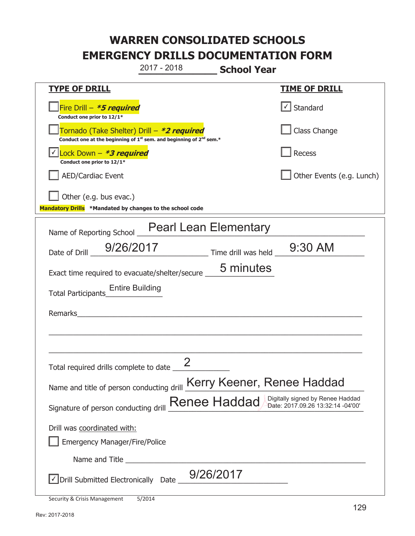**\_\_\_\_\_\_\_\_\_\_\_\_\_ School Year TYPE OF DRILL TIME OF DRILL**  侊Fire Drill – **\*5 required Conduct one prior to 12/1\***   $\boxed{\checkmark}$  Standard 侊Tornado (Take Shelter) Drill – **\*2 required Conduct one at the beginning of 1<sup>st</sup> sem. and beginning of 2<sup>nd</sup> sem.\*** Class Change 侊Lock Down – **\*3 required** ✔ **Conduct one prior to 12/1\* Recess** AED/Cardiac Event **AED/Cardiac Event Network Network Network Network Network Network Network Network Network Network Network Network Network Network Network Network Network Network Net**  $\Box$  Other (e.g. bus evac.) **Mandatory Drills \*Mandated by changes to the school code**  Name of Reporting School Pearl Lean Elementary Date of Drill <u>9/26/2017</u><br>Time drill was held 9:30 AM Exact time required to evacuate/shelter/secure  $\underline{\hspace{1cm}}$  5 minutes Total Participants\_\_\_\_\_\_\_\_\_\_\_\_\_\_ Entire Building Remarks  $\_$  , and the set of the set of the set of the set of the set of the set of the set of the set of the set of the set of the set of the set of the set of the set of the set of the set of the set of the set of the set of th \_\_\_\_\_\_\_\_\_\_\_\_\_\_\_\_\_\_\_\_\_\_\_\_\_\_\_\_\_\_\_\_\_\_\_\_\_\_\_\_\_\_\_\_\_\_\_\_\_\_\_\_\_\_\_\_\_\_\_\_\_\_\_\_\_\_\_\_\_\_\_\_\_\_\_\_\_ Total required drills complete to date  $\frac{2}{\sqrt{2}}$ Name and title of person conducting drill Kerry Keener, Renee Haddad Signature of person conducting drill **Renee Haddad** Digitally signed by Renee Haddad Signature of person conducting drill Drill was coordinated with: ܆ Emergency Manager/Fire/Police Name and Title **Example 20**  $\sqrt{2}$  Drill Submitted Electronically Date  $\frac{9/26/2017}{2}$ 2017 - 2018